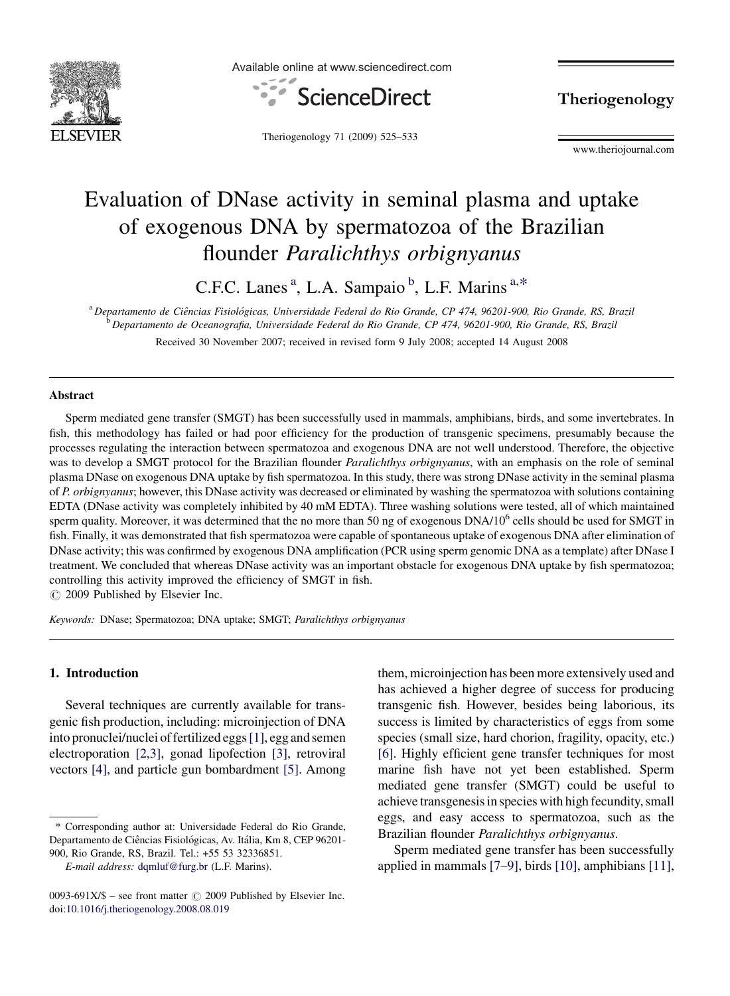

Available online at www.sciencedirect.com



Theriogenology

Theriogenology 71 (2009) 525–533

www.theriojournal.com

# Evaluation of DNase activity in seminal plasma and uptake of exogenous DNA by spermatozoa of the Brazilian flounder Paralichthys orbignyanus

C.F.C. Lanes<sup>a</sup>, L.A. Sampaio<sup>b</sup>, L.F. Marins<sup>a,\*</sup>

<sup>a</sup> Departamento de Ciências Fisiológicas, Universidade Federal do Rio Grande, CP 474, 96201-900, Rio Grande, RS, Brazil <sup>b</sup> Departamento de Oceanografia, Universidade Federal do Rio Grande, CP 474, 96201-900, Rio Grande, RS, Brazil

Received 30 November 2007; received in revised form 9 July 2008; accepted 14 August 2008

### Abstract

Sperm mediated gene transfer (SMGT) has been successfully used in mammals, amphibians, birds, and some invertebrates. In fish, this methodology has failed or had poor efficiency for the production of transgenic specimens, presumably because the processes regulating the interaction between spermatozoa and exogenous DNA are not well understood. Therefore, the objective was to develop a SMGT protocol for the Brazilian flounder *Paralichthys orbignyanus*, with an emphasis on the role of seminal plasma DNase on exogenous DNA uptake by fish spermatozoa. In this study, there was strong DNase activity in the seminal plasma of P. orbignyanus; however, this DNase activity was decreased or eliminated by washing the spermatozoa with solutions containing EDTA (DNase activity was completely inhibited by 40 mM EDTA). Three washing solutions were tested, all of which maintained sperm quality. Moreover, it was determined that the no more than 50 ng of exogenous  $DNA/10<sup>6</sup>$  cells should be used for SMGT in fish. Finally, it was demonstrated that fish spermatozoa were capable of spontaneous uptake of exogenous DNA after elimination of DNase activity; this was confirmed by exogenous DNA amplification (PCR using sperm genomic DNA as a template) after DNase I treatment. We concluded that whereas DNase activity was an important obstacle for exogenous DNA uptake by fish spermatozoa; controlling this activity improved the efficiency of SMGT in fish.

 $\circ$  2009 Published by Elsevier Inc.

Keywords: DNase; Spermatozoa; DNA uptake; SMGT; Paralichthys orbignyanus

#### 1. Introduction

Several techniques are currently available for transgenic fish production, including: microinjection of DNA into pronuclei/nuclei of fertilized eggs[\[1\]](#page-7-0), egg and semen electroporation [\[2,3\]](#page-7-0), gonad lipofection [\[3\]](#page-7-0), retroviral vectors [\[4\],](#page-7-0) and particle gun bombardment [\[5\].](#page-7-0) Among

them, microinjection has been more extensively used and has achieved a higher degree of success for producing transgenic fish. However, besides being laborious, its success is limited by characteristics of eggs from some species (small size, hard chorion, fragility, opacity, etc.) [\[6\]](#page-7-0). Highly efficient gene transfer techniques for most marine fish have not yet been established. Sperm mediated gene transfer (SMGT) could be useful to achieve transgenesis in species with high fecundity, small eggs, and easy access to spermatozoa, such as the Brazilian flounder Paralichthys orbignyanus.

Sperm mediated gene transfer has been successfully applied in mammals [\[7–9\],](#page-7-0) birds [\[10\],](#page-8-0) amphibians [\[11\],](#page-8-0)

<sup>\*</sup> Corresponding author at: Universidade Federal do Rio Grande, Departamento de Ciências Fisiológicas, Av. Itália, Km 8, CEP 96201-900, Rio Grande, RS, Brazil. Tel.: +55 53 32336851.

E-mail address: [dqmluf@furg.br](mailto:dqmluf@furg.br) (L.F. Marins).

<sup>0093-691</sup>X/\$ – see front matter  $\circled{c}$  2009 Published by Elsevier Inc. doi[:10.1016/j.theriogenology.2008.08.019](http://dx.doi.org/10.1016/j.theriogenology.2008.08.019)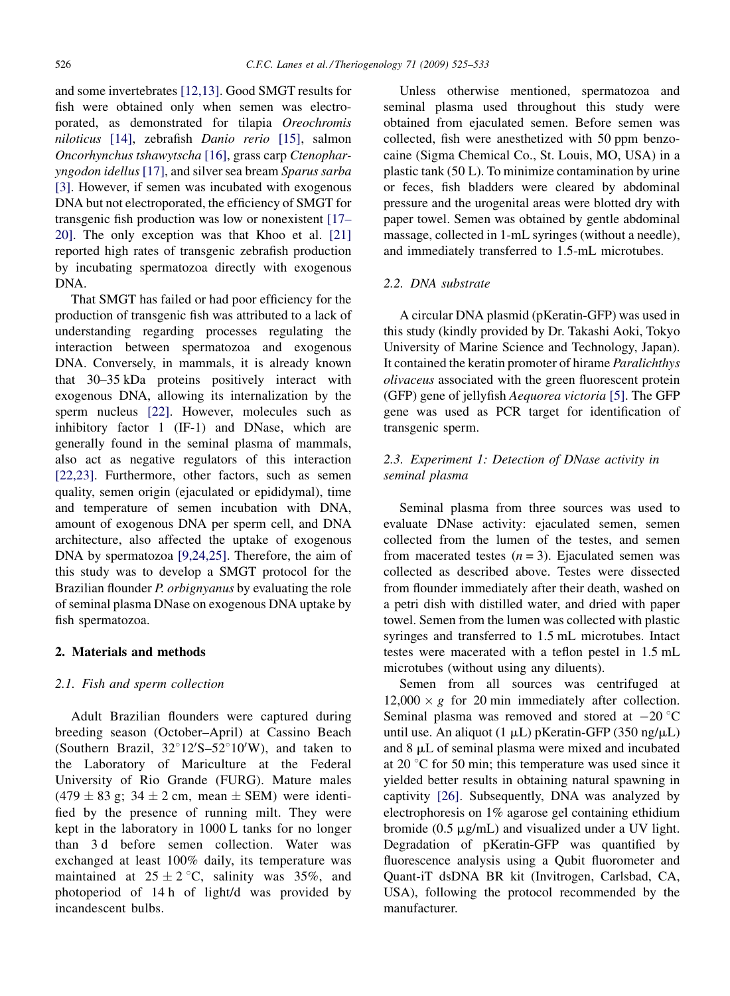and some invertebrates [\[12,13\].](#page-8-0) Good SMGT results for fish were obtained only when semen was electroporated, as demonstrated for tilapia Oreochromis niloticus [\[14\],](#page-8-0) zebrafish Danio rerio [\[15\]](#page-8-0), salmon Oncorhynchus tshawytscha [\[16\]](#page-8-0), grass carp Ctenopharyngodon idellus [\[17\],](#page-8-0) and silver sea bream Sparus sarba [\[3\].](#page-7-0) However, if semen was incubated with exogenous DNA but not electroporated, the efficiency of SMGT for transgenic fish production was low or nonexistent [\[17–](#page-8-0) [20\]](#page-8-0). The only exception was that Khoo et al. [\[21\]](#page-8-0) reported high rates of transgenic zebrafish production by incubating spermatozoa directly with exogenous DNA.

That SMGT has failed or had poor efficiency for the production of transgenic fish was attributed to a lack of understanding regarding processes regulating the interaction between spermatozoa and exogenous DNA. Conversely, in mammals, it is already known that 30–35 kDa proteins positively interact with exogenous DNA, allowing its internalization by the sperm nucleus [\[22\].](#page-8-0) However, molecules such as inhibitory factor 1 (IF-1) and DNase, which are generally found in the seminal plasma of mammals, also act as negative regulators of this interaction [\[22,23\]](#page-8-0). Furthermore, other factors, such as semen quality, semen origin (ejaculated or epididymal), time and temperature of semen incubation with DNA, amount of exogenous DNA per sperm cell, and DNA architecture, also affected the uptake of exogenous DNA by spermatozoa [\[9,24,25\]](#page-8-0). Therefore, the aim of this study was to develop a SMGT protocol for the Brazilian flounder P. orbignyanus by evaluating the role of seminal plasma DNase on exogenous DNA uptake by fish spermatozoa.

#### 2. Materials and methods

### 2.1. Fish and sperm collection

Adult Brazilian flounders were captured during breeding season (October–April) at Cassino Beach (Southern Brazil,  $32^{\circ}12'S - 52^{\circ}10'W$ ), and taken to the Laboratory of Mariculture at the Federal University of Rio Grande (FURG). Mature males  $(479 \pm 83 \text{ g}; 34 \pm 2 \text{ cm}, \text{ mean } \pm \text{ SEM})$  were identified by the presence of running milt. They were kept in the laboratory in 1000 L tanks for no longer than 3 d before semen collection. Water was exchanged at least 100% daily, its temperature was maintained at  $25 \pm 2$  °C, salinity was 35%, and photoperiod of 14 h of light/d was provided by incandescent bulbs.

Unless otherwise mentioned, spermatozoa and seminal plasma used throughout this study were obtained from ejaculated semen. Before semen was collected, fish were anesthetized with 50 ppm benzocaine (Sigma Chemical Co., St. Louis, MO, USA) in a plastic tank (50 L). To minimize contamination by urine or feces, fish bladders were cleared by abdominal pressure and the urogenital areas were blotted dry with paper towel. Semen was obtained by gentle abdominal massage, collected in 1-mL syringes (without a needle), and immediately transferred to 1.5-mL microtubes.

### 2.2. DNA substrate

A circular DNA plasmid (pKeratin-GFP) was used in this study (kindly provided by Dr. Takashi Aoki, Tokyo University of Marine Science and Technology, Japan). It contained the keratin promoter of hirame Paralichthys olivaceus associated with the green fluorescent protein (GFP) gene of jellyfish Aequorea victoria [\[5\]](#page-7-0). The GFP gene was used as PCR target for identification of transgenic sperm.

# 2.3. Experiment 1: Detection of DNase activity in seminal plasma

Seminal plasma from three sources was used to evaluate DNase activity: ejaculated semen, semen collected from the lumen of the testes, and semen from macerated testes  $(n = 3)$ . Ejaculated semen was collected as described above. Testes were dissected from flounder immediately after their death, washed on a petri dish with distilled water, and dried with paper towel. Semen from the lumen was collected with plastic syringes and transferred to 1.5 mL microtubes. Intact testes were macerated with a teflon pestel in 1.5 mL microtubes (without using any diluents).

Semen from all sources was centrifuged at  $12,000 \times g$  for 20 min immediately after collection. Seminal plasma was removed and stored at  $-20$  °C until use. An aliquot  $(1 \mu L)$  pKeratin-GFP (350 ng/ $\mu L$ ) and  $8 \mu L$  of seminal plasma were mixed and incubated at 20 $\degree$ C for 50 min; this temperature was used since it yielded better results in obtaining natural spawning in captivity [\[26\].](#page-8-0) Subsequently, DNA was analyzed by electrophoresis on 1% agarose gel containing ethidium bromide  $(0.5 \mu g/mL)$  and visualized under a UV light. Degradation of pKeratin-GFP was quantified by fluorescence analysis using a Qubit fluorometer and Quant-iT dsDNA BR kit (Invitrogen, Carlsbad, CA, USA), following the protocol recommended by the manufacturer.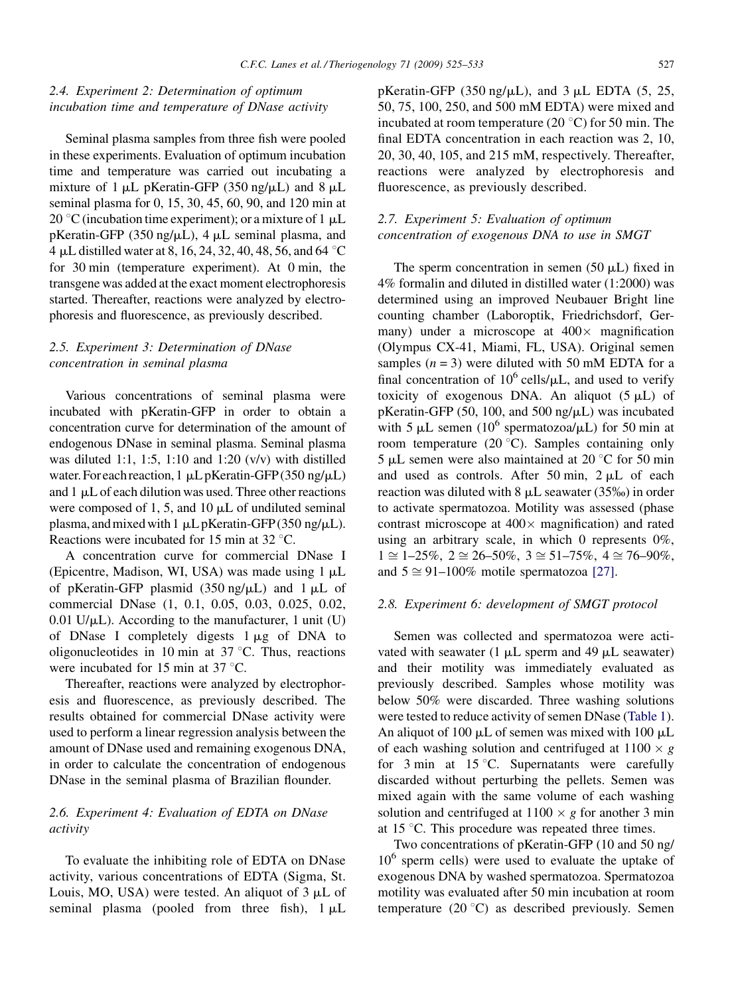# 2.4. Experiment 2: Determination of optimum incubation time and temperature of DNase activity

Seminal plasma samples from three fish were pooled in these experiments. Evaluation of optimum incubation time and temperature was carried out incubating a mixture of 1  $\mu$ L pKeratin-GFP (350 ng/ $\mu$ L) and 8  $\mu$ L seminal plasma for 0, 15, 30, 45, 60, 90, and 120 min at 20 °C (incubation time experiment); or a mixture of 1  $\mu$ L pKeratin-GFP (350 ng/ $\mu$ L), 4  $\mu$ L seminal plasma, and 4 µL distilled water at 8, 16, 24, 32, 40, 48, 56, and 64  $^{\circ}$ C for 30 min (temperature experiment). At 0 min, the transgene was added at the exact moment electrophoresis started. Thereafter, reactions were analyzed by electrophoresis and fluorescence, as previously described.

# 2.5. Experiment 3: Determination of DNase concentration in seminal plasma

Various concentrations of seminal plasma were incubated with pKeratin-GFP in order to obtain a concentration curve for determination of the amount of endogenous DNase in seminal plasma. Seminal plasma was diluted 1:1, 1:5, 1:10 and 1:20 (v/v) with distilled water. For each reaction,  $1 \mu L$  pKeratin-GFP (350 ng/ $\mu$ L) and  $1 \mu L$  of each dilution was used. Three other reactions were composed of 1, 5, and 10  $\mu$ L of undiluted seminal plasma, and mixed with 1  $\mu$ L pKeratin-GFP (350 ng/ $\mu$ L). Reactions were incubated for 15 min at  $32 \degree C$ .

A concentration curve for commercial DNase I (Epicentre, Madison, WI, USA) was made using  $1 \mu L$ of pKeratin-GFP plasmid  $(350 \text{ ng/}\mu\text{L})$  and  $1 \mu\text{L}$  of commercial DNase (1, 0.1, 0.05, 0.03, 0.025, 0.02,  $0.01$  U/ $\mu$ L). According to the manufacturer, 1 unit (U) of DNase I completely digests  $1 \mu$ g of DNA to oligonucleotides in 10 min at  $37^{\circ}$ C. Thus, reactions were incubated for 15 min at 37  $\mathrm{^{\circ}C}$ .

Thereafter, reactions were analyzed by electrophoresis and fluorescence, as previously described. The results obtained for commercial DNase activity were used to perform a linear regression analysis between the amount of DNase used and remaining exogenous DNA, in order to calculate the concentration of endogenous DNase in the seminal plasma of Brazilian flounder.

# 2.6. Experiment 4: Evaluation of EDTA on DNase activity

To evaluate the inhibiting role of EDTA on DNase activity, various concentrations of EDTA (Sigma, St. Louis, MO, USA) were tested. An aliquot of  $3 \mu L$  of seminal plasma (pooled from three fish),  $1 \mu L$  pKeratin-GFP (350 ng/ $\mu$ L), and 3  $\mu$ L EDTA (5, 25, 50, 75, 100, 250, and 500 mM EDTA) were mixed and incubated at room temperature (20  $\degree$ C) for 50 min. The final EDTA concentration in each reaction was 2, 10, 20, 30, 40, 105, and 215 mM, respectively. Thereafter, reactions were analyzed by electrophoresis and fluorescence, as previously described.

# 2.7. Experiment 5: Evaluation of optimum concentration of exogenous DNA to use in SMGT

The sperm concentration in semen  $(50 \mu L)$  fixed in 4% formalin and diluted in distilled water (1:2000) was determined using an improved Neubauer Bright line counting chamber (Laboroptik, Friedrichsdorf, Germany) under a microscope at  $400 \times$  magnification (Olympus CX-41, Miami, FL, USA). Original semen samples  $(n = 3)$  were diluted with 50 mM EDTA for a final concentration of  $10^6$  cells/ $\mu$ L, and used to verify toxicity of exogenous DNA. An aliquot  $(5 \mu L)$  of pKeratin-GFP (50, 100, and 500 ng/ $\mu$ L) was incubated with 5  $\mu$ L semen (10<sup>6</sup> spermatozoa/ $\mu$ L) for 50 min at room temperature  $(20 \degree C)$ . Samples containing only 5  $\mu$ L semen were also maintained at 20 °C for 50 min and used as controls. After 50 min,  $2 \mu L$  of each reaction was diluted with  $8 \mu L$  seawater (35‰) in order to activate spermatozoa. Motility was assessed (phase contrast microscope at  $400 \times$  magnification) and rated using an arbitrary scale, in which 0 represents 0%,  $1 \cong 1-25\%, 2 \cong 26-50\%, 3 \cong 51-75\%, 4 \cong 76-90\%,$ and  $5 \approx 91-100\%$  motile spermatozoa [\[27\].](#page-8-0)

#### 2.8. Experiment 6: development of SMGT protocol

Semen was collected and spermatozoa were activated with seawater (1  $\mu$ L sperm and 49  $\mu$ L seawater) and their motility was immediately evaluated as previously described. Samples whose motility was below 50% were discarded. Three washing solutions were tested to reduce activity of semen DNase [\(Table 1](#page-3-0)). An aliquot of 100  $\mu$ L of semen was mixed with 100  $\mu$ L of each washing solution and centrifuged at  $1100 \times g$ for  $3 \text{ min}$  at  $15 \degree \text{C}$ . Supernatants were carefully discarded without perturbing the pellets. Semen was mixed again with the same volume of each washing solution and centrifuged at  $1100 \times g$  for another 3 min at  $15^{\circ}$ C. This procedure was repeated three times.

Two concentrations of pKeratin-GFP (10 and 50 ng/  $10<sup>6</sup>$  sperm cells) were used to evaluate the uptake of exogenous DNA by washed spermatozoa. Spermatozoa motility was evaluated after 50 min incubation at room temperature (20 $\degree$ C) as described previously. Semen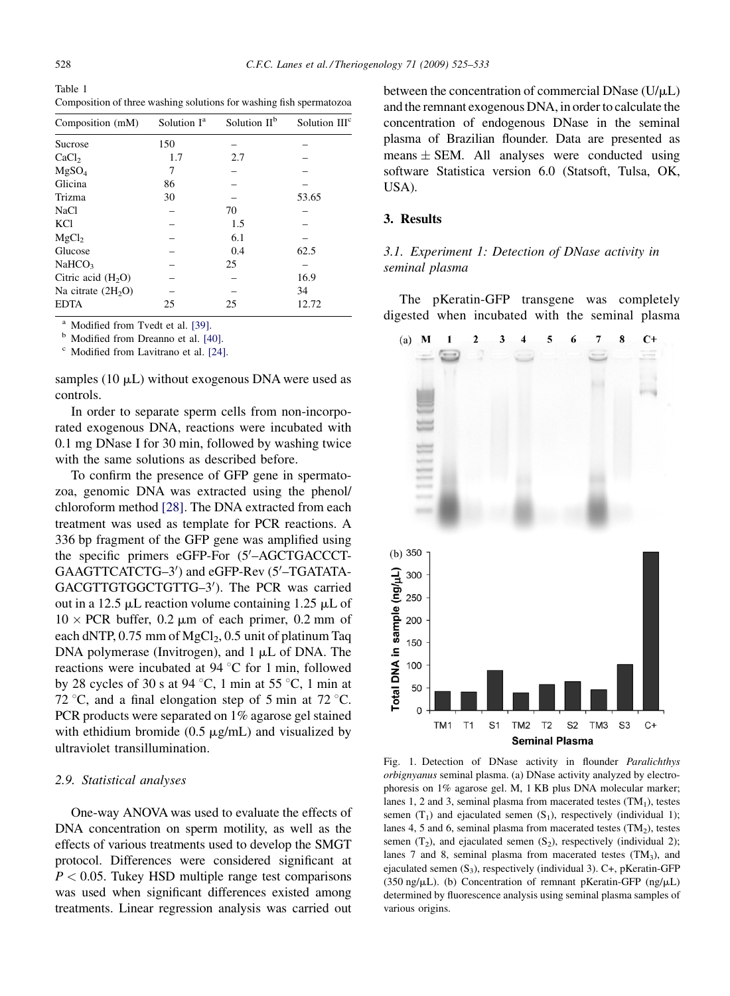<span id="page-3-0"></span>Table 1 Composition of three washing solutions for washing fish spermatozoa

| Composition (mM)    | Solution I <sup>a</sup> | Solution II <sup>b</sup> | Solution III <sup>c</sup> |
|---------------------|-------------------------|--------------------------|---------------------------|
| Sucrose             | 150                     |                          |                           |
| CaCl <sub>2</sub>   | 1.7                     | 2.7                      |                           |
| MgSO <sub>4</sub>   | 7                       |                          |                           |
| Glicina             | 86                      |                          |                           |
| Trizma              | 30                      |                          | 53.65                     |
| <b>NaCl</b>         |                         | 70                       |                           |
| <b>KCl</b>          |                         | 1.5                      |                           |
| MgCl <sub>2</sub>   |                         | 6.1                      |                           |
| Glucose             |                         | 0.4                      | 62.5                      |
| NaHCO <sub>3</sub>  |                         | 25                       |                           |
| Citric acid $(H2O)$ |                         |                          | 16.9                      |
| Na citrate $(2H2O)$ |                         |                          | 34                        |
| <b>EDTA</b>         | 25                      | 25                       | 12.72                     |

<sup>a</sup> Modified from Tvedt et al. [\[39\]](#page-8-0).<br><sup>b</sup> Modified from Dreanno et al. [\[40\].](#page-8-0)<br><sup>c</sup> Modified from Lavitrano et al. [\[24\].](#page-8-0)

samples (10  $\mu$ L) without exogenous DNA were used as controls.

In order to separate sperm cells from non-incorporated exogenous DNA, reactions were incubated with 0.1 mg DNase I for 30 min, followed by washing twice with the same solutions as described before.

To confirm the presence of GFP gene in spermatozoa, genomic DNA was extracted using the phenol/ chloroform method [\[28\]](#page-8-0). The DNA extracted from each treatment was used as template for PCR reactions. A 336 bp fragment of the GFP gene was amplified using the specific primers eGFP-For (5'-AGCTGACCCT-GAAGTTCATCTG-3') and eGFP-Rev (5'-TGATATA-GACGTTGTGGCTGTTG-3'). The PCR was carried out in a 12.5  $\mu$ L reaction volume containing 1.25  $\mu$ L of  $10 \times PCR$  buffer, 0.2  $\mu$ m of each primer, 0.2 mm of each dNTP,  $0.75$  mm of MgCl<sub>2</sub>,  $0.5$  unit of platinum Taq DNA polymerase (Invitrogen), and  $1 \mu L$  of DNA. The reactions were incubated at 94  $^{\circ}$ C for 1 min, followed by 28 cycles of 30 s at 94 °C, 1 min at 55 °C, 1 min at 72 °C, and a final elongation step of 5 min at 72 °C. PCR products were separated on 1% agarose gel stained with ethidium bromide  $(0.5 \mu g/mL)$  and visualized by ultraviolet transillumination.

#### 2.9. Statistical analyses

One-way ANOVA was used to evaluate the effects of DNA concentration on sperm motility, as well as the effects of various treatments used to develop the SMGT protocol. Differences were considered significant at  $P < 0.05$ . Tukey HSD multiple range test comparisons was used when significant differences existed among treatments. Linear regression analysis was carried out between the concentration of commercial DNase  $(U/\mu L)$ and the remnant exogenous DNA, in order to calculate the concentration of endogenous DNase in the seminal plasma of Brazilian flounder. Data are presented as means  $\pm$  SEM. All analyses were conducted using software Statistica version 6.0 (Statsoft, Tulsa, OK, USA).

#### 3. Results

# 3.1. Experiment 1: Detection of DNase activity in seminal plasma

The pKeratin-GFP transgene was completely digested when incubated with the seminal plasma



Fig. 1. Detection of DNase activity in flounder Paralichthys orbignyanus seminal plasma. (a) DNase activity analyzed by electrophoresis on 1% agarose gel. M, 1 KB plus DNA molecular marker; lanes 1, 2 and 3, seminal plasma from macerated testes  $(TM<sub>1</sub>)$ , testes semen  $(T_1)$  and ejaculated semen  $(S_1)$ , respectively (individual 1); lanes 4, 5 and 6, seminal plasma from macerated testes  $(TM<sub>2</sub>)$ , testes semen  $(T_2)$ , and ejaculated semen  $(S_2)$ , respectively (individual 2); lanes 7 and 8, seminal plasma from macerated testes  $(TM_3)$ , and ejaculated semen  $(S_3)$ , respectively (individual 3). C+, pKeratin-GFP (350 ng/ $\mu$ L). (b) Concentration of remnant pKeratin-GFP (ng/ $\mu$ L) determined by fluorescence analysis using seminal plasma samples of various origins.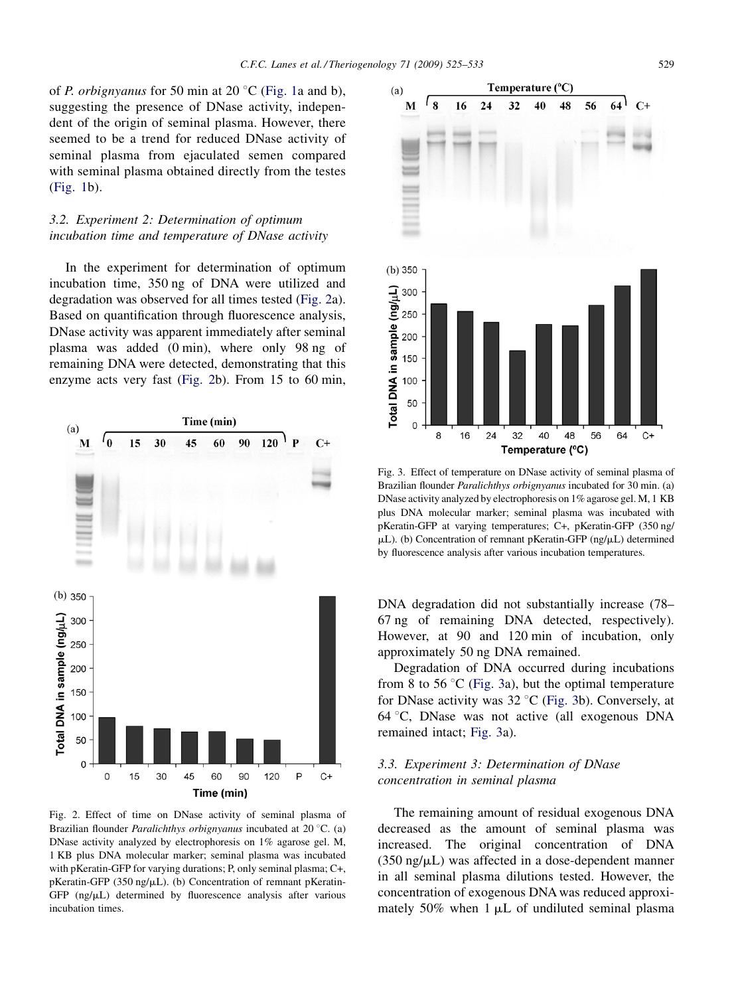of *P. orbignyanus* for 50 min at 20  $^{\circ}$ C ([Fig. 1](#page-3-0)a and b), suggesting the presence of DNase activity, independent of the origin of seminal plasma. However, there seemed to be a trend for reduced DNase activity of seminal plasma from ejaculated semen compared with seminal plasma obtained directly from the testes [\(Fig. 1](#page-3-0)b).

# 3.2. Experiment 2: Determination of optimum incubation time and temperature of DNase activity

In the experiment for determination of optimum incubation time, 350 ng of DNA were utilized and degradation was observed for all times tested (Fig. 2a). Based on quantification through fluorescence analysis, DNase activity was apparent immediately after seminal plasma was added (0 min), where only 98 ng of remaining DNA were detected, demonstrating that this enzyme acts very fast (Fig. 2b). From 15 to 60 min,



Fig. 2. Effect of time on DNase activity of seminal plasma of Brazilian flounder *Paralichthys orbignyanus* incubated at  $20^{\circ}$ C. (a) DNase activity analyzed by electrophoresis on 1% agarose gel. M, 1 KB plus DNA molecular marker; seminal plasma was incubated with pKeratin-GFP for varying durations; P, only seminal plasma; C+, pKeratin-GFP (350 ng/ $\mu$ L). (b) Concentration of remnant pKeratin-GFP  $(ng/\mu L)$  determined by fluorescence analysis after various incubation times.



Fig. 3. Effect of temperature on DNase activity of seminal plasma of Brazilian flounder Paralichthys orbignyanus incubated for 30 min. (a) DNase activity analyzed by electrophoresis on 1% agarose gel. M, 1 KB plus DNA molecular marker; seminal plasma was incubated with pKeratin-GFP at varying temperatures; C+, pKeratin-GFP (350 ng/  $\mu$ L). (b) Concentration of remnant pKeratin-GFP (ng/ $\mu$ L) determined by fluorescence analysis after various incubation temperatures.

DNA degradation did not substantially increase (78– 67 ng of remaining DNA detected, respectively). However, at 90 and 120 min of incubation, only approximately 50 ng DNA remained.

Degradation of DNA occurred during incubations from 8 to 56  $\degree$ C (Fig. 3a), but the optimal temperature for DNase activity was  $32^{\circ}$ C (Fig. 3b). Conversely, at 64 8C, DNase was not active (all exogenous DNA remained intact; Fig. 3a).

# 3.3. Experiment 3: Determination of DNase concentration in seminal plasma

The remaining amount of residual exogenous DNA decreased as the amount of seminal plasma was increased. The original concentration of DNA  $(350 \text{ ng/}\mu\text{L})$  was affected in a dose-dependent manner in all seminal plasma dilutions tested. However, the concentration of exogenous DNA was reduced approximately 50% when  $1 \mu L$  of undiluted seminal plasma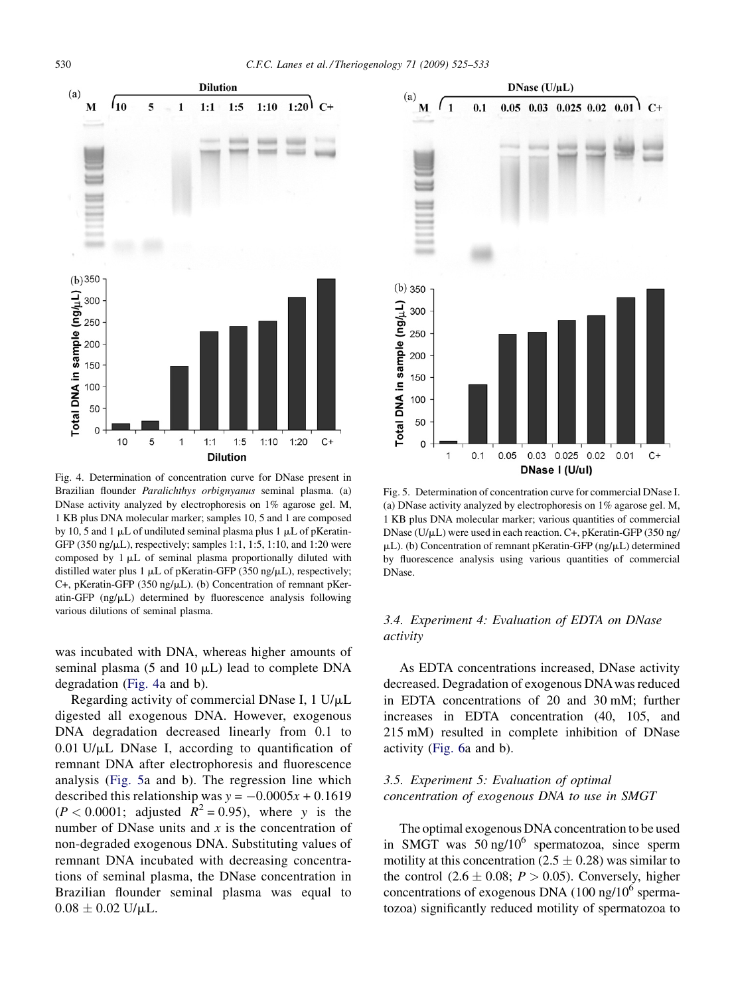

Fig. 4. Determination of concentration curve for DNase present in Brazilian flounder Paralichthys orbignyanus seminal plasma. (a) DNase activity analyzed by electrophoresis on 1% agarose gel. M, 1 KB plus DNA molecular marker; samples 10, 5 and 1 are composed by 10, 5 and 1  $\mu$ L of undiluted seminal plasma plus 1  $\mu$ L of pKeratin-GFP (350 ng/ $\mu$ L), respectively; samples 1:1, 1:5, 1:10, and 1:20 were composed by  $1 \mu L$  of seminal plasma proportionally diluted with distilled water plus 1  $\mu$ L of pKeratin-GFP (350 ng/ $\mu$ L), respectively; C+, pKeratin-GFP (350 ng/ $\mu$ L). (b) Concentration of remnant pKeratin-GFP  $(np/\mu L)$  determined by fluorescence analysis following various dilutions of seminal plasma.

was incubated with DNA, whereas higher amounts of seminal plasma (5 and 10  $\mu$ L) lead to complete DNA degradation (Fig. 4a and b).

Regarding activity of commercial DNase I,  $1 \text{ U/}\mu\text{L}$ digested all exogenous DNA. However, exogenous DNA degradation decreased linearly from 0.1 to  $0.01$  U/ $\mu$ L DNase I, according to quantification of remnant DNA after electrophoresis and fluorescence analysis (Fig. 5a and b). The regression line which described this relationship was  $y = -0.0005x + 0.1619$  $(P < 0.0001$ ; adjusted  $R^2 = 0.95$ ), where y is the number of DNase units and  $x$  is the concentration of non-degraded exogenous DNA. Substituting values of remnant DNA incubated with decreasing concentrations of seminal plasma, the DNase concentration in Brazilian flounder seminal plasma was equal to  $0.08 \pm 0.02$  U/ $\mu$ L.



Fig. 5. Determination of concentration curve for commercial DNase I. (a) DNase activity analyzed by electrophoresis on 1% agarose gel. M, 1 KB plus DNA molecular marker; various quantities of commercial DNase ( $U/\mu L$ ) were used in each reaction. C+, pKeratin-GFP (350 ng/  $\mu$ L). (b) Concentration of remnant pKeratin-GFP (ng/ $\mu$ L) determined by fluorescence analysis using various quantities of commercial DNase.

# 3.4. Experiment 4: Evaluation of EDTA on DNase activity

As EDTA concentrations increased, DNase activity decreased. Degradation of exogenous DNAwas reduced in EDTA concentrations of 20 and 30 mM; further increases in EDTA concentration (40, 105, and 215 mM) resulted in complete inhibition of DNase activity ([Fig. 6a](#page-6-0) and b).

# 3.5. Experiment 5: Evaluation of optimal concentration of exogenous DNA to use in SMGT

The optimal exogenous DNA concentration to be used in SMGT was  $50 \text{ ng}/10^6$  spermatozoa, since sperm motility at this concentration (2.5  $\pm$  0.28) was similar to the control  $(2.6 \pm 0.08; P > 0.05)$ . Conversely, higher concentrations of exogenous DNA  $(100 \text{ ng}/10^6 \text{ sperma}$ tozoa) significantly reduced motility of spermatozoa to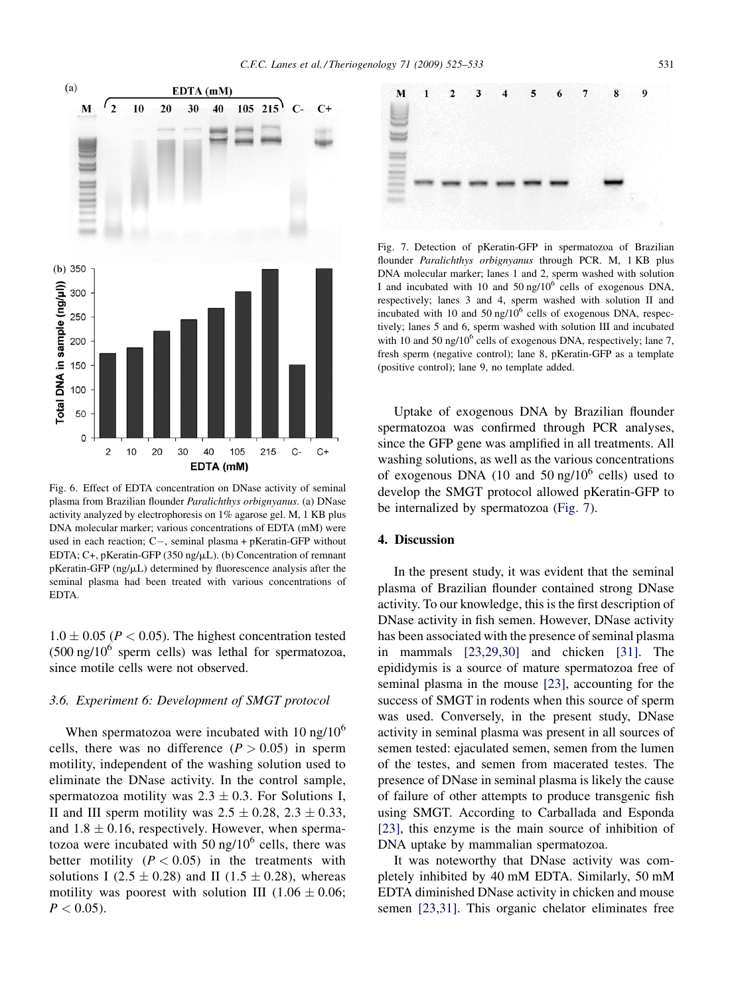<span id="page-6-0"></span>

Fig. 6. Effect of EDTA concentration on DNase activity of seminal plasma from Brazilian flounder Paralichthys orbignyanus. (a) DNase activity analyzed by electrophoresis on 1% agarose gel. M, 1 KB plus DNA molecular marker; various concentrations of EDTA (mM) were used in each reaction;  $C-$ , seminal plasma + pKeratin-GFP without EDTA; C+, pKeratin-GFP (350 ng/ $\mu$ L). (b) Concentration of remnant  $p$ Keratin-GFP (ng/ $\mu$ L) determined by fluorescence analysis after the seminal plasma had been treated with various concentrations of EDTA.

 $1.0 \pm 0.05$  ( $P < 0.05$ ). The highest concentration tested  $(500 \text{ ng}/10^6 \text{ sperm cells})$  was lethal for spermatozoa, since motile cells were not observed.

#### 3.6. Experiment 6: Development of SMGT protocol

When spermatozoa were incubated with  $10 \text{ ng}/10^6$ cells, there was no difference  $(P > 0.05)$  in sperm motility, independent of the washing solution used to eliminate the DNase activity. In the control sample, spermatozoa motility was  $2.3 \pm 0.3$ . For Solutions I, II and III sperm motility was  $2.5 \pm 0.28$ ,  $2.3 \pm 0.33$ , and  $1.8 \pm 0.16$ , respectively. However, when spermatozoa were incubated with 50 ng/ $10^6$  cells, there was better motility  $(P < 0.05)$  in the treatments with solutions I (2.5  $\pm$  0.28) and II (1.5  $\pm$  0.28), whereas motility was poorest with solution III  $(1.06 \pm 0.06;$  $P < 0.05$ ).



Fig. 7. Detection of pKeratin-GFP in spermatozoa of Brazilian flounder Paralichthys orbignyanus through PCR. M, 1 KB plus DNA molecular marker; lanes 1 and 2, sperm washed with solution I and incubated with 10 and 50 ng/ $10<sup>6</sup>$  cells of exogenous DNA, respectively; lanes 3 and 4, sperm washed with solution II and incubated with 10 and 50 ng/ $10<sup>6</sup>$  cells of exogenous DNA, respectively; lanes 5 and 6, sperm washed with solution III and incubated with 10 and 50 ng/10 $^6$  cells of exogenous DNA, respectively; lane 7, fresh sperm (negative control); lane 8, pKeratin-GFP as a template (positive control); lane 9, no template added.

Uptake of exogenous DNA by Brazilian flounder spermatozoa was confirmed through PCR analyses, since the GFP gene was amplified in all treatments. All washing solutions, as well as the various concentrations of exogenous DNA (10 and 50 ng/10<sup>6</sup> cells) used to develop the SMGT protocol allowed pKeratin-GFP to be internalized by spermatozoa (Fig. 7).

#### 4. Discussion

In the present study, it was evident that the seminal plasma of Brazilian flounder contained strong DNase activity. To our knowledge, this is the first description of DNase activity in fish semen. However, DNase activity has been associated with the presence of seminal plasma in mammals [\[23,29,30\]](#page-8-0) and chicken [\[31\]](#page-8-0). The epididymis is a source of mature spermatozoa free of seminal plasma in the mouse [\[23\]](#page-8-0), accounting for the success of SMGT in rodents when this source of sperm was used. Conversely, in the present study, DNase activity in seminal plasma was present in all sources of semen tested: ejaculated semen, semen from the lumen of the testes, and semen from macerated testes. The presence of DNase in seminal plasma is likely the cause of failure of other attempts to produce transgenic fish using SMGT. According to Carballada and Esponda [\[23\],](#page-8-0) this enzyme is the main source of inhibition of DNA uptake by mammalian spermatozoa.

It was noteworthy that DNase activity was completely inhibited by 40 mM EDTA. Similarly, 50 mM EDTA diminished DNase activity in chicken and mouse semen [\[23,31\]](#page-8-0). This organic chelator eliminates free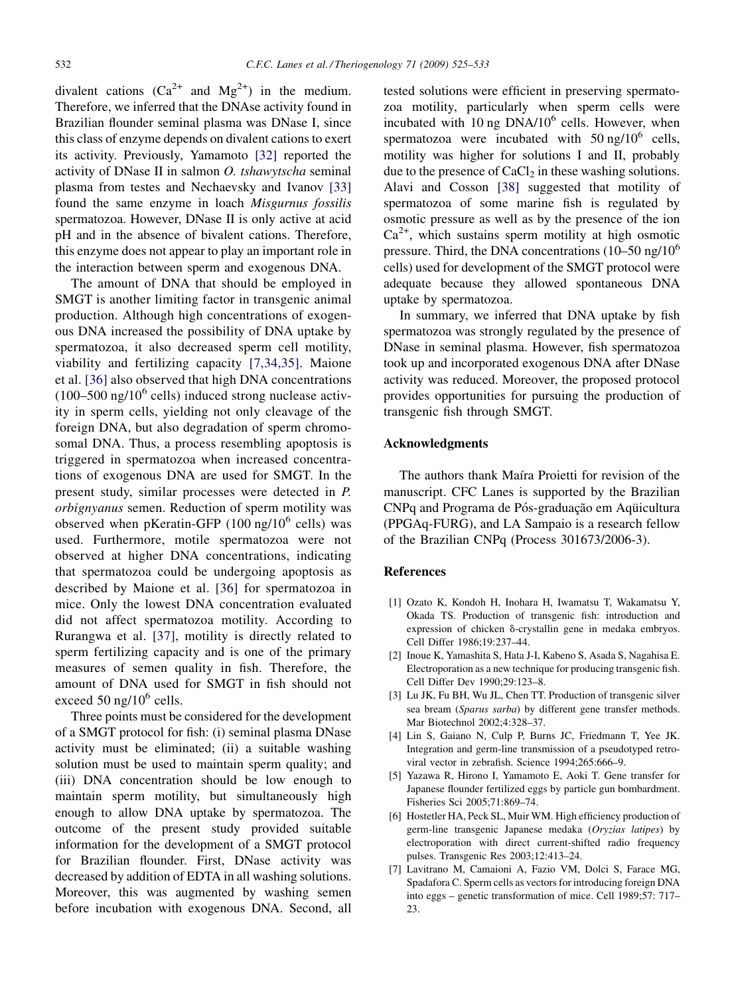<span id="page-7-0"></span>divalent cations  $(Ca^{2+}$  and  $Mg^{2+}$ ) in the medium. Therefore, we inferred that the DNAse activity found in Brazilian flounder seminal plasma was DNase I, since this class of enzyme depends on divalent cations to exert its activity. Previously, Yamamoto [\[32\]](#page-8-0) reported the activity of DNase II in salmon O. tshawytscha seminal plasma from testes and Nechaevsky and Ivanov [\[33\]](#page-8-0) found the same enzyme in loach Misgurnus fossilis spermatozoa. However, DNase II is only active at acid pH and in the absence of bivalent cations. Therefore, this enzyme does not appear to play an important role in the interaction between sperm and exogenous DNA.

The amount of DNA that should be employed in SMGT is another limiting factor in transgenic animal production. Although high concentrations of exogenous DNA increased the possibility of DNA uptake by spermatozoa, it also decreased sperm cell motility, viability and fertilizing capacity [7,34,35]. Maione et al. [\[36\]](#page-8-0) also observed that high DNA concentrations  $(100-500 \text{ ng}/10^6 \text{ cells})$  induced strong nuclease activity in sperm cells, yielding not only cleavage of the foreign DNA, but also degradation of sperm chromosomal DNA. Thus, a process resembling apoptosis is triggered in spermatozoa when increased concentrations of exogenous DNA are used for SMGT. In the present study, similar processes were detected in P. orbignyanus semen. Reduction of sperm motility was observed when pKeratin-GFP  $(100 \text{ ng}/10^6 \text{ cells})$  was used. Furthermore, motile spermatozoa were not observed at higher DNA concentrations, indicating that spermatozoa could be undergoing apoptosis as described by Maione et al. [\[36\]](#page-8-0) for spermatozoa in mice. Only the lowest DNA concentration evaluated did not affect spermatozoa motility. According to Rurangwa et al. [\[37\],](#page-8-0) motility is directly related to sperm fertilizing capacity and is one of the primary measures of semen quality in fish. Therefore, the amount of DNA used for SMGT in fish should not exceed 50 ng/ $10^6$  cells.

Three points must be considered for the development of a SMGT protocol for fish: (i) seminal plasma DNase activity must be eliminated; (ii) a suitable washing solution must be used to maintain sperm quality; and (iii) DNA concentration should be low enough to maintain sperm motility, but simultaneously high enough to allow DNA uptake by spermatozoa. The outcome of the present study provided suitable information for the development of a SMGT protocol for Brazilian flounder. First, DNase activity was decreased by addition of EDTA in all washing solutions. Moreover, this was augmented by washing semen before incubation with exogenous DNA. Second, all tested solutions were efficient in preserving spermatozoa motility, particularly when sperm cells were incubated with 10 ng  $DNA/10^6$  cells. However, when spermatozoa were incubated with  $50$  ng/ $10^6$  cells, motility was higher for solutions I and II, probably due to the presence of  $CaCl<sub>2</sub>$  in these washing solutions. Alavi and Cosson [\[38\]](#page-8-0) suggested that motility of spermatozoa of some marine fish is regulated by osmotic pressure as well as by the presence of the ion  $Ca<sup>2+</sup>$ , which sustains sperm motility at high osmotic pressure. Third, the DNA concentrations  $(10-50 \text{ ng}/10^6)$ cells) used for development of the SMGT protocol were adequate because they allowed spontaneous DNA uptake by spermatozoa.

In summary, we inferred that DNA uptake by fish spermatozoa was strongly regulated by the presence of DNase in seminal plasma. However, fish spermatozoa took up and incorporated exogenous DNA after DNase activity was reduced. Moreover, the proposed protocol provides opportunities for pursuing the production of transgenic fish through SMGT.

## Acknowledgments

The authors thank Maíra Proietti for revision of the manuscript. CFC Lanes is supported by the Brazilian CNPq and Programa de Pós-graduação em Aquicultura (PPGAq-FURG), and LA Sampaio is a research fellow of the Brazilian CNPq (Process 301673/2006-3).

#### **References**

- [1] Ozato K, Kondoh H, Inohara H, Iwamatsu T, Wakamatsu Y, Okada TS. Production of transgenic fish: introduction and expression of chicken δ-crystallin gene in medaka embryos. Cell Differ 1986;19:237–44.
- [2] Inoue K, Yamashita S, Hata J-I, Kabeno S, Asada S, Nagahisa E. Electroporation as a new technique for producing transgenic fish. Cell Differ Dev 1990;29:123–8.
- [3] Lu JK, Fu BH, Wu JL, Chen TT. Production of transgenic silver sea bream (Sparus sarba) by different gene transfer methods. Mar Biotechnol 2002;4:328–37.
- [4] Lin S, Gaiano N, Culp P, Burns JC, Friedmann T, Yee JK. Integration and germ-line transmission of a pseudotyped retroviral vector in zebrafish. Science 1994;265:666–9.
- [5] Yazawa R, Hirono I, Yamamoto E, Aoki T. Gene transfer for Japanese flounder fertilized eggs by particle gun bombardment. Fisheries Sci 2005;71:869–74.
- [6] Hostetler HA, Peck SL, Muir WM. High efficiency production of germ-line transgenic Japanese medaka (Oryzias latipes) by electroporation with direct current-shifted radio frequency pulses. Transgenic Res 2003;12:413–24.
- [7] Lavitrano M, Camaioni A, Fazio VM, Dolci S, Farace MG, Spadafora C. Sperm cells as vectors for introducing foreign DNA into eggs – genetic transformation of mice. Cell 1989;57: 717– 23.